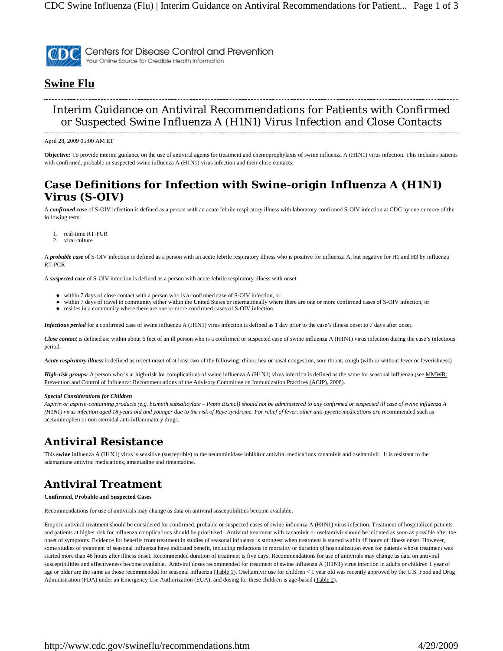

Centers for Disease Control and Prevention Your Online Source for Credible Health Information

#### **Swine Flu**

#### Interim Guidance on Antiviral Recommendations for Patients with Confirmed or Suspected Swine Influenza A (H1N1) Virus Infection and Close Contacts

April 28, 2009 05:00 AM ET

**Objective:** To provide interim guidance on the use of antiviral agents for treatment and chemoprophylaxis of swine influenza A (H1N1) virus infection. This includes patients with confirmed, probable or suspected swine influenza A (H1N1) virus infection and their close contacts.

#### **Case Definitions for Infection with Swine-origin Influenza A (H1N1) Virus (S-OIV)**

A *confirmed case* of S-OIV infection is defined as a person with an acute febrile respiratory illness with laboratory confirmed S-OIV infection at CDC by one or more of the following tests:

- real-time RT-PCR
- 2. viral culture

A *probable case* of S-OIV infection is defined as a person with an acute febrile respiratory illness who is positive for influenza A, but negative for H1 and H3 by influenza RT-PCR

A *suspected case* of S-OIV infection is defined as a person with acute febrile respiratory illness with onset

- z within 7 days of close contact with a person who is a confirmed case of S-OIV infection, or
- within 7 days of travel to community either within the United States or internationally where there are one or more confirmed cases of S-OIV infection, or
- resides in a community where there are one or more confirmed cases of S-OIV infection.

*Infectious period* for a confirmed case of swine influenza A (H1N1) virus infection is defined as 1 day prior to the case's illness onset to 7 days after onset.

*Close contact* is defined as: within about 6 feet of an ill person who is a confirmed or suspected case of swine influenza A (H1N1) virus infection during the case's infectious period.

*Acute respiratory illness* is defined as recent onset of at least two of the following: rhinorrhea or nasal congestion, sore throat, cough (with or without fever or feverishness)

*High-risk groups:* A person who is at high-risk for complications of swine influenza A (H1N1) virus infection is defined as the same for seasonal influenza (see MMWR: Prevention and Control of Influenza: Recommendations of the Advisory Committee on Immunization Practices (ACIP), 2008).

#### *Special Considerations for Children*

*Aspirin or aspirin-containing products (e.g. bismuth subsalicylate – Pepto Bismol) should not be administered to any confirmed or suspected ill case of swine influenza A (H1N1) virus infection aged 18 years old and younger due to the risk of Reye syndrome. For relief of fever, other anti-pyretic medications are* recommended such as acetaminophen or non steroidal anti-inflammatory drugs.

## **Antiviral Resistance**

This **swine** influenza A (H1N1) virus is sensitive (susceptible) to the neuraminidase inhibitor antiviral medications zanamivir and oseltamivir. It is resistant to the adamantane antiviral medications, amantadine and rimantadine.

# **Antiviral Treatment**

**Confirmed, Probable and Suspected Cases** 

Recommendations for use of antivirals may change as data on antiviral susceptibilities become available.

Empiric antiviral treatment should be considered for confirmed, probable or suspected cases of swine influenza A (H1N1) virus infection. Treatment of hospitalized patients and patients at higher risk for influenza complications should be prioritized. Antiviral treatment with zanamivir or oseltamivir should be initiated as soon as possible after the onset of symptoms. Evidence for benefits from treatment in studies of seasonal influenza is strongest when treatment is started within 48 hours of illness onset. However, some studies of treatment of seasonal influenza have indicated benefit, including reductions in mortality or duration of hospitalization even for patients whose treatment was started more than 48 hours after illness onset. Recommended duration of treatment is five days. Recommendations for use of antivirals may change as data on antiviral susceptibilities and effectiveness become available. Antiviral doses recommended for treatment of swine influenza A (H1N1) virus infection in adults or children 1 year of age or older are the same as those recommended for seasonal influenza (Table 1). Oseltamivir use for children < 1 year old was recently approved by the U.S. Food and Drug Administration (FDA) under an Emergency Use Authorization (EUA), and dosing for these children is age-based (Table 2).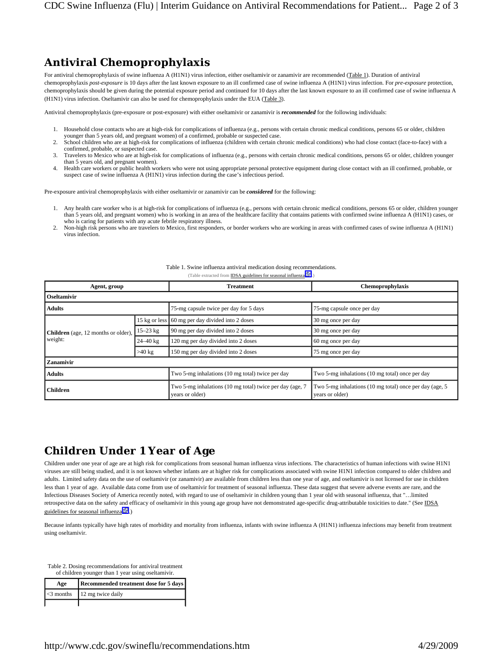### **Antiviral Chemoprophylaxis**

For antiviral chemoprophylaxis of swine influenza A (H1N1) virus infection, either oseltamivir or zanamivir are recommended (Table 1). Duration of antiviral chemoprophylaxis *post-exposure* is 10 days after the last known exposure to an ill confirmed case of swine influenza A (H1N1) virus infection. For *pre-exposure* protection, chemoprophylaxis should be given during the potential exposure period and continued for 10 days after the last known exposure to an ill confirmed case of swine influenza A (H1N1) virus infection. Oseltamivir can also be used for chemoprophylaxis under the EUA (Table 3).

Antiviral chemoprophylaxis (pre-exposure or post-exposure) with either oseltamivir or zanamivir is *recommended* for the following individuals:

- 1. Household close contacts who are at high-risk for complications of influenza (e.g., persons with certain chronic medical conditions, persons 65 or older, children younger than 5 years old, and pregnant women) of a confirmed, probable or suspected case.
- 2. School children who are at high-risk for complications of influenza (children with certain chronic medical conditions) who had close contact (face-to-face) with a confirmed, probable, or suspected case.
- 3. Travelers to Mexico who are at high-risk for complications of influenza (e.g., persons with certain chronic medical conditions, persons 65 or older, children younger than 5 years old, and pregnant women).
- 4. Health care workers or public health workers who were not using appropriate personal protective equipment during close contact with an ill confirmed, probable, or suspect case of swine influenza A (H1N1) virus infection during the case's infectious period.

Pre-exposure antiviral chemoprophylaxis with either oseltamivir or zanamivir can be *considered* for the following:

- 1. Any health care worker who is at high-risk for complications of influenza (e.g., persons with certain chronic medical conditions, persons 65 or older, children younger than 5 years old, and pregnant women) who is working in an area of the healthcare facility that contains patients with confirmed swine influenza A (H1N1) cases, or who is caring for patients with any acute febrile respiratory illness.
- 2. Non-high risk persons who are travelers to Mexico, first responders, or border workers who are working in areas with confirmed cases of swine influenza A (H1N1) virus infection.

| Agent, group                                          |               | <b>Treatment</b>                                                            | Chemoprophylaxis                                                           |  |  |  |
|-------------------------------------------------------|---------------|-----------------------------------------------------------------------------|----------------------------------------------------------------------------|--|--|--|
| <b>Oseltamivir</b>                                    |               |                                                                             |                                                                            |  |  |  |
| <b>Adults</b>                                         |               | 75-mg capsule twice per day for 5 days                                      | 75-mg capsule once per day                                                 |  |  |  |
| <b>Children</b> (age, 12 months or older),<br>weight: | 15 kg or less | 60 mg per day divided into 2 doses                                          | 30 mg once per day                                                         |  |  |  |
|                                                       | $15 - 23$ kg  | 90 mg per day divided into 2 doses                                          | 30 mg once per day                                                         |  |  |  |
|                                                       | $24 - 40$ kg  | 120 mg per day divided into 2 doses                                         | 60 mg once per day                                                         |  |  |  |
|                                                       | $>40$ kg      | 150 mg per day divided into 2 doses                                         | 75 mg once per day                                                         |  |  |  |
| Zanamivir                                             |               |                                                                             |                                                                            |  |  |  |
| <b>Adults</b>                                         |               | Two 5-mg inhalations (10 mg total) twice per day                            | Two 5-mg inhalations (10 mg total) once per day                            |  |  |  |
| <b>Children</b>                                       |               | Two 5-mg inhalations (10 mg total) twice per day (age, 7<br>years or older) | Two 5-mg inhalations (10 mg total) once per day (age, 5<br>years or older) |  |  |  |

#### Table 1. Swine influenza antiviral medication dosing recommendations. (Table extracted from **IDSA guidelines for seasonal influenza** .)

## **Children Under 1 Year of Age**

Children under one year of age are at high risk for complications from seasonal human influenza virus infections. The characteristics of human infections with swine H1N1 viruses are still being studied, and it is not known whether infants are at higher risk for complications associated with swine H1N1 infection compared to older children and adults. Limited safety data on the use of oseltamivir (or zanamivir) are available from children less than one year of age, and oseltamivir is not licensed for use in children less than 1 year of age. Available data come from use of oseltamivir for treatment of seasonal influenza. These data suggest that severe adverse events are rare, and the Infectious Diseases Society of America recently noted, with regard to use of oseltamivir in children young than 1 year old with seasonal influenza, that "…limited retrospective data on the safety and efficacy of oseltamivir in this young age group have not demonstrated age-specific drug-attributable toxicities to date." (See IDSA guidelines for seasonal influenza $\mathbb{F}_2$ .

Because infants typically have high rates of morbidity and mortality from influenza, infants with swine influenza A (H1N1) influenza infections may benefit from treatment using oseltamivir.

Table 2. Dosing recommendations for antiviral treatment of children younger than 1 year using oseltamivir.

| Age | Recommended treatment dose for 5 days |  |
|-----|---------------------------------------|--|
|     | $\leq$ 3 months 12 mg twice daily     |  |
|     |                                       |  |